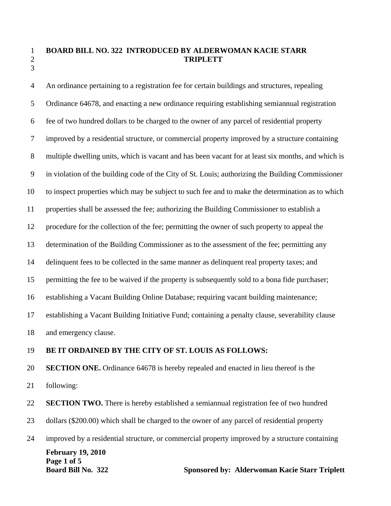## 1 **BOARD BILL NO. 322 INTRODUCED BY ALDERWOMAN KACIE STARR**  2 **TRIPLETT**

4 An ordinance pertaining to a registration fee for certain buildings and structures, repealing 5 Ordinance 64678, and enacting a new ordinance requiring establishing semiannual registration 6 fee of two hundred dollars to be charged to the owner of any parcel of residential property 7 improved by a residential structure, or commercial property improved by a structure containing 8 multiple dwelling units, which is vacant and has been vacant for at least six months, and which is 9 in violation of the building code of the City of St. Louis; authorizing the Building Commissioner 10 to inspect properties which may be subject to such fee and to make the determination as to which 11 properties shall be assessed the fee; authorizing the Building Commissioner to establish a 12 procedure for the collection of the fee; permitting the owner of such property to appeal the 13 determination of the Building Commissioner as to the assessment of the fee; permitting any 14 delinquent fees to be collected in the same manner as delinquent real property taxes; and 15 permitting the fee to be waived if the property is subsequently sold to a bona fide purchaser; 16 establishing a Vacant Building Online Database; requiring vacant building maintenance; 17 establishing a Vacant Building Initiative Fund; containing a penalty clause, severability clause 18 and emergency clause.

## 19 **BE IT ORDAINED BY THE CITY OF ST. LOUIS AS FOLLOWS:**

20 **SECTION ONE.** Ordinance 64678 is hereby repealed and enacted in lieu thereof is the 21 following:

22 **SECTION TWO.** There is hereby established a semiannual registration fee of two hundred

23 dollars (\$200.00) which shall be charged to the owner of any parcel of residential property

**February 19, 2010 Page 1 of 5 Board Bill No. 322 Sponsored by: Alderwoman Kacie Starr Triplett** 24 improved by a residential structure, or commercial property improved by a structure containing

3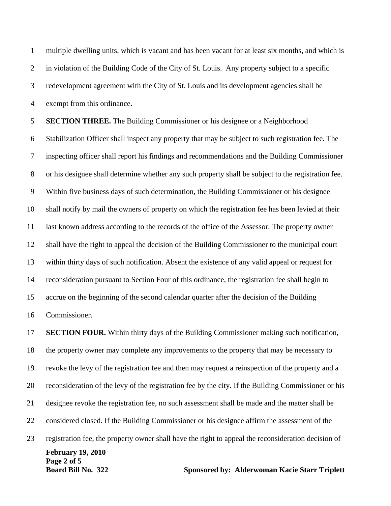1 multiple dwelling units, which is vacant and has been vacant for at least six months, and which is 2 in violation of the Building Code of the City of St. Louis. Any property subject to a specific 3 redevelopment agreement with the City of St. Louis and its development agencies shall be 4 exempt from this ordinance.

5 **SECTION THREE.** The Building Commissioner or his designee or a Neighborhood 6 Stabilization Officer shall inspect any property that may be subject to such registration fee. The 7 inspecting officer shall report his findings and recommendations and the Building Commissioner 8 or his designee shall determine whether any such property shall be subject to the registration fee. 9 Within five business days of such determination, the Building Commissioner or his designee 10 shall notify by mail the owners of property on which the registration fee has been levied at their 11 last known address according to the records of the office of the Assessor. The property owner 12 shall have the right to appeal the decision of the Building Commissioner to the municipal court 13 within thirty days of such notification. Absent the existence of any valid appeal or request for 14 reconsideration pursuant to Section Four of this ordinance, the registration fee shall begin to 15 accrue on the beginning of the second calendar quarter after the decision of the Building 16 Commissioner.

**February 19, 2010 Page 2 of 5 Board Bill No. 322 Sponsored by: Alderwoman Kacie Starr Triplett** 17 **SECTION FOUR.** Within thirty days of the Building Commissioner making such notification, 18 the property owner may complete any improvements to the property that may be necessary to 19 revoke the levy of the registration fee and then may request a reinspection of the property and a 20 reconsideration of the levy of the registration fee by the city. If the Building Commissioner or his 21 designee revoke the registration fee, no such assessment shall be made and the matter shall be 22 considered closed. If the Building Commissioner or his designee affirm the assessment of the 23 registration fee, the property owner shall have the right to appeal the reconsideration decision of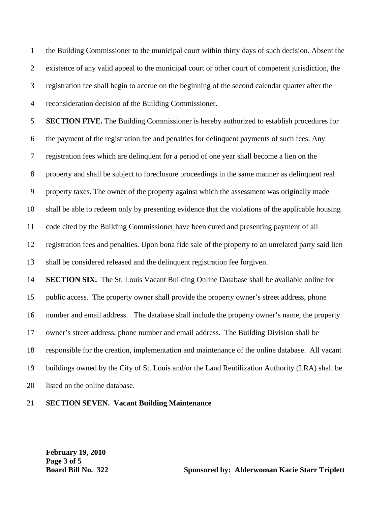1 the Building Commissioner to the municipal court within thirty days of such decision. Absent the 2 existence of any valid appeal to the municipal court or other court of competent jurisdiction, the 3 registration fee shall begin to accrue on the beginning of the second calendar quarter after the 4 reconsideration decision of the Building Commissioner.

5 **SECTION FIVE.** The Building Commissioner is hereby authorized to establish procedures for 6 the payment of the registration fee and penalties for delinquent payments of such fees. Any 7 registration fees which are delinquent for a period of one year shall become a lien on the 8 property and shall be subject to foreclosure proceedings in the same manner as delinquent real 9 property taxes. The owner of the property against which the assessment was originally made 10 shall be able to redeem only by presenting evidence that the violations of the applicable housing 11 code cited by the Building Commissioner have been cured and presenting payment of all 12 registration fees and penalties. Upon bona fide sale of the property to an unrelated party said lien 13 shall be considered released and the delinquent registration fee forgiven. 14 **SECTION SIX.** The St. Louis Vacant Building Online Database shall be available online for 15 public access. The property owner shall provide the property owner's street address, phone 16 number and email address. The database shall include the property owner's name, the property 17 owner's street address, phone number and email address. The Building Division shall be 18 responsible for the creation, implementation and maintenance of the online database. All vacant 19 buildings owned by the City of St. Louis and/or the Land Reutilization Authority (LRA) shall be 20 listed on the online database.

21 **SECTION SEVEN. Vacant Building Maintenance**

**February 19, 2010 Page 3 of 5**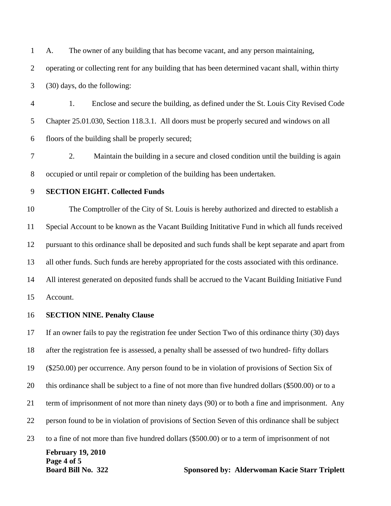1 A. The owner of any building that has become vacant, and any person maintaining,

2 operating or collecting rent for any building that has been determined vacant shall, within thirty

3 (30) days, do the following:

4 1. Enclose and secure the building, as defined under the St. Louis City Revised Code 5 Chapter 25.01.030, Section 118.3.1. All doors must be properly secured and windows on all 6 floors of the building shall be properly secured;

7 2. Maintain the building in a secure and closed condition until the building is again 8 occupied or until repair or completion of the building has been undertaken.

## 9 **SECTION EIGHT. Collected Funds**

10 The Comptroller of the City of St. Louis is hereby authorized and directed to establish a 11 Special Account to be known as the Vacant Building Inititative Fund in which all funds received 12 pursuant to this ordinance shall be deposited and such funds shall be kept separate and apart from 13 all other funds. Such funds are hereby appropriated for the costs associated with this ordinance. 14 All interest generated on deposited funds shall be accrued to the Vacant Building Initiative Fund

15 Account.

## 16 **SECTION NINE. Penalty Clause**

**February 19, 2010 Page 4 of 5 Board Bill No. 322 Sponsored by: Alderwoman Kacie Starr Triplett** 17 If an owner fails to pay the registration fee under Section Two of this ordinance thirty (30) days 18 after the registration fee is assessed, a penalty shall be assessed of two hundred- fifty dollars 19 (\$250.00) per occurrence. Any person found to be in violation of provisions of Section Six of 20 this ordinance shall be subject to a fine of not more than five hundred dollars (\$500.00) or to a 21 term of imprisonment of not more than ninety days (90) or to both a fine and imprisonment. Any 22 person found to be in violation of provisions of Section Seven of this ordinance shall be subject 23 to a fine of not more than five hundred dollars (\$500.00) or to a term of imprisonment of not